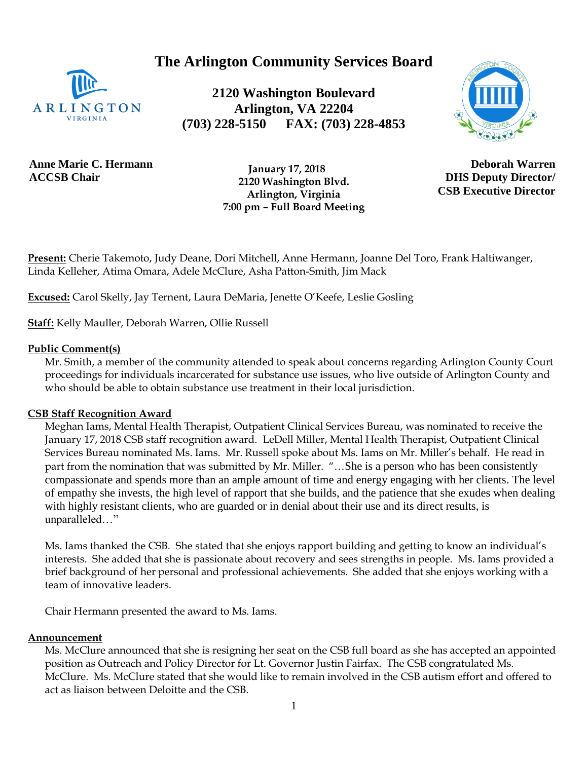**The Arlington Community Services Board**



**2120 Washington Boulevard Arlington, VA 22204 (703) 228-5150 FAX: (703) 228-4853**



**Anne Marie C. Hermann ACCSB Chair**

 **January 17, 2018 2120 Washington Blvd. Arlington, Virginia 7:00 pm – Full Board Meeting**

**Deborah Warren DHS Deputy Director/ CSB Executive Director**

**Present:** Cherie Takemoto, Judy Deane, Dori Mitchell, Anne Hermann, Joanne Del Toro, Frank Haltiwanger, Linda Kelleher, Atima Omara, Adele McClure, Asha Patton-Smith, Jim Mack

**Excused:** Carol Skelly, Jay Ternent, Laura DeMaria, Jenette O'Keefe, Leslie Gosling

**Staff:** Kelly Mauller, Deborah Warren, Ollie Russell

#### **Public Comment(s)**

Mr. Smith, a member of the community attended to speak about concerns regarding Arlington County Court proceedings for individuals incarcerated for substance use issues, who live outside of Arlington County and who should be able to obtain substance use treatment in their local jurisdiction.

#### **CSB Staff Recognition Award**

Meghan Iams, Mental Health Therapist, Outpatient Clinical Services Bureau, was nominated to receive the January 17, 2018 CSB staff recognition award. LeDell Miller, Mental Health Therapist, Outpatient Clinical Services Bureau nominated Ms. Iams. Mr. Russell spoke about Ms. Iams on Mr. Miller's behalf. He read in part from the nomination that was submitted by Mr. Miller. "...She is a person who has been consistently compassionate and spends more than an ample amount of time and energy engaging with her clients. The level of empathy she invests, the high level of rapport that she builds, and the patience that she exudes when dealing with highly resistant clients, who are guarded or in denial about their use and its direct results, is unparalleled…"

Ms. Iams thanked the CSB. She stated that she enjoys rapport building and getting to know an individual's interests. She added that she is passionate about recovery and sees strengths in people. Ms. Iams provided a brief background of her personal and professional achievements. She added that she enjoys working with a team of innovative leaders.

Chair Hermann presented the award to Ms. Iams.

#### **Announcement**

Ms. McClure announced that she is resigning her seat on the CSB full board as she has accepted an appointed position as Outreach and Policy Director for Lt. Governor Justin Fairfax. The CSB congratulated Ms. McClure. Ms. McClure stated that she would like to remain involved in the CSB autism effort and offered to act as liaison between Deloitte and the CSB.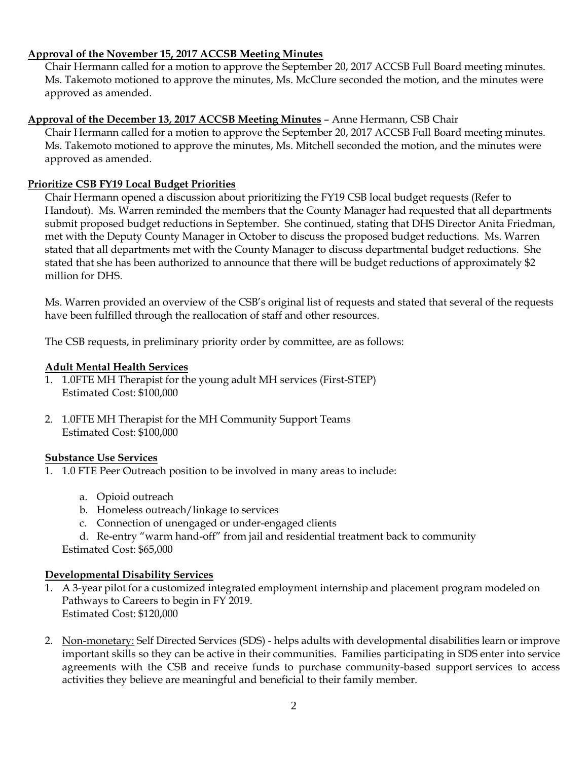### **Approval of the November 15, 2017 ACCSB Meeting Minutes**

Chair Hermann called for a motion to approve the September 20, 2017 ACCSB Full Board meeting minutes. Ms. Takemoto motioned to approve the minutes, Ms. McClure seconded the motion, and the minutes were approved as amended.

# **Approval of the December 13, 2017 ACCSB Meeting Minutes** – Anne Hermann, CSB Chair

Chair Hermann called for a motion to approve the September 20, 2017 ACCSB Full Board meeting minutes. Ms. Takemoto motioned to approve the minutes, Ms. Mitchell seconded the motion, and the minutes were approved as amended.

# **Prioritize CSB FY19 Local Budget Priorities**

Chair Hermann opened a discussion about prioritizing the FY19 CSB local budget requests (Refer to Handout). Ms. Warren reminded the members that the County Manager had requested that all departments submit proposed budget reductions in September. She continued, stating that DHS Director Anita Friedman, met with the Deputy County Manager in October to discuss the proposed budget reductions. Ms. Warren stated that all departments met with the County Manager to discuss departmental budget reductions. She stated that she has been authorized to announce that there will be budget reductions of approximately \$2 million for DHS.

Ms. Warren provided an overview of the CSB's original list of requests and stated that several of the requests have been fulfilled through the reallocation of staff and other resources.

The CSB requests, in preliminary priority order by committee, are as follows:

#### **Adult Mental Health Services**

- 1. 1.0FTE MH Therapist for the young adult MH services (First-STEP) Estimated Cost: \$100,000
- 2. 1.0FTE MH Therapist for the MH Community Support Teams Estimated Cost: \$100,000

#### **Substance Use Services**

- 1. 1.0 FTE Peer Outreach position to be involved in many areas to include:
	- a. Opioid outreach
	- b. Homeless outreach/linkage to services
	- c. Connection of unengaged or under-engaged clients
	- d. Re-entry "warm hand-off" from jail and residential treatment back to community

Estimated Cost: \$65,000

# **Developmental Disability Services**

- 1. A 3-year pilot for a customized integrated employment internship and placement program modeled on Pathways to Careers to begin in FY 2019. Estimated Cost: \$120,000
- 2. Non-monetary: Self Directed Services (SDS) helps adults with developmental disabilities learn or improve important skills so they can be active in their communities. Families participating in SDS enter into service agreements with the CSB and receive funds to purchase community-based support services to access activities they believe are meaningful and beneficial to their family member.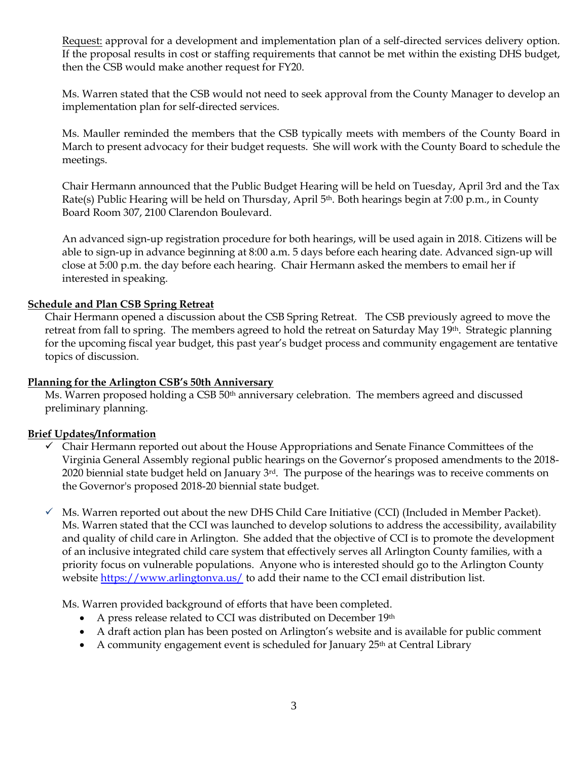Request: approval for a development and implementation plan of a self-directed services delivery option. If the proposal results in cost or staffing requirements that cannot be met within the existing DHS budget, then the CSB would make another request for FY20.

Ms. Warren stated that the CSB would not need to seek approval from the County Manager to develop an implementation plan for self-directed services.

Ms. Mauller reminded the members that the CSB typically meets with members of the County Board in March to present advocacy for their budget requests. She will work with the County Board to schedule the meetings.

Chair Hermann announced that the Public Budget Hearing will be held on Tuesday, April 3rd and the Tax Rate(s) Public Hearing will be held on Thursday, April  $5<sup>th</sup>$ . Both hearings begin at 7:00 p.m., in County Board Room 307, 2100 Clarendon Boulevard.

An advanced sign-up registration procedure for both hearings, will be used again in 2018. Citizens will be able to sign-up in advance beginning at 8:00 a.m. 5 days before each hearing date. Advanced sign-up will close at 5:00 p.m. the day before each hearing. Chair Hermann asked the members to email her if interested in speaking.

#### **Schedule and Plan CSB Spring Retreat**

Chair Hermann opened a discussion about the CSB Spring Retreat. The CSB previously agreed to move the retreat from fall to spring. The members agreed to hold the retreat on Saturday May 19<sup>th</sup>. Strategic planning for the upcoming fiscal year budget, this past year's budget process and community engagement are tentative topics of discussion.

#### **Planning for the Arlington CSB's 50th Anniversary**

Ms. Warren proposed holding a CSB 50<sup>th</sup> anniversary celebration. The members agreed and discussed preliminary planning.

#### **Brief Updates/Information**

- $\checkmark$  Chair Hermann reported out about the House Appropriations and Senate Finance Committees of the Virginia General Assembly regional public hearings on the Governor's proposed amendments to the 2018- 2020 biennial state budget held on January  $3<sup>rd</sup>$ . The purpose of the hearings was to receive comments on the Governor's proposed 2018-20 biennial state budget.
- $\checkmark$  Ms. Warren reported out about the new DHS Child Care Initiative (CCI) (Included in Member Packet). Ms. Warren stated that the CCI was launched to develop solutions to address the accessibility, availability and quality of child care in Arlington. She added that the objective of CCI is to promote the development of an inclusive integrated child care system that effectively serves all Arlington County families, with a priority focus on vulnerable populations. Anyone who is interested should go to the Arlington County website<https://www.arlingtonva.us/> to add their name to the CCI email distribution list.

Ms. Warren provided background of efforts that have been completed.

- A press release related to CCI was distributed on December 19th
- A draft action plan has been posted on Arlington's website and is available for public comment
- A community engagement event is scheduled for January 25<sup>th</sup> at Central Library